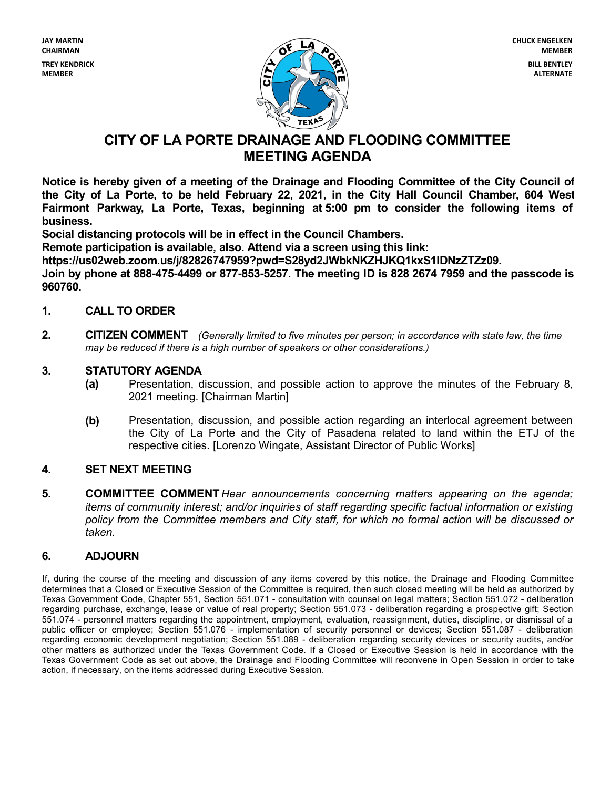

# **CITY OF LA PORTE DRAINAGE AND FLOODING COMMITTEE MEETING AGENDA**

**Notice is hereby given of a meeting of the Drainage and Flooding Committee of the City Council of** the City of La Porte, to be held February 22, 2021, in the City Hall Council Chamber, 604 West **Fairmont Parkway, La Porte, Texas, beginning at 5:00 pm to consider the following items of business.**

**Social distancing protocols will be in effect in the Council Chambers.**

**Remote participation is available, also. Attend via a screen using this link:**

**https://us02web.zoom.us/j/82826747959?pwd=S28yd2JWbkNKZHJKQ1kxS1lDNzZTZz09.**

**Join by phone at 888-475-4499 or 877-853-5257. The meeting ID is 828 2674 7959 and the passcode is 960760.**

### **1. CALL TO ORDER**

**2. CITIZEN COMMENT** *(Generally limited to five minutes per person; in accordance with state law,the time may be reduced if there is a high number of speakers or other considerations.)*

#### **3. STATUTORY AGENDA**

- **(a)** Presentation, discussion, and possible action to approve the minutes of the February 8, <sup>2021</sup> meeting. [Chairman Martin]
- **(b)** Presentation, discussion, and possible action regarding an interlocal agreement between the City of La Porte and the City of Pasadena related to land within the ETJ of the respective cities. [Lorenzo Wingate, Assistant Director of Public Works]

#### **4. SET NEXT MEETING**

**5. COMMITTEE COMMENT***Hear announcements concerning matters appearing on the agenda; items of community interest; and/or inquiries of staff regarding specific factual information or existing policy from the Committee members and City staff, for which no formal action will be discussed or taken.*

## **6. ADJOURN**

If, during the course of the meeting and discussion of any items covered by this notice, the Drainage and Flooding Committee determines that a Closed or Executive Session of the Committee is required, then such closed meeting will be held as authorized by Texas Government Code, Chapter 551, Section 551.071 - consultation with counsel on legalmatters; Section 551.072 - deliberation regarding purchase, exchange, lease or value of real property; Section 551.073 - deliberation regarding a prospective gift; Section 551.074 - personnel matters regarding the appointment, employment, evaluation, reassignment, duties, discipline, or dismissal of a public officer or employee; Section 551.076 - implementation of security personnel or devices; Section 551.087 - deliberation regarding economic development negotiation; Section 551.089 - deliberation regarding security devices or security audits, and/or other matters as authorized under the Texas Government Code. If a Closed or Executive Session is held in accordance with the Texas Government Code as set out above, the Drainage and Flooding Committee will reconvene in Open Session in order to take action, if necessary, on the items addressed during Executive Session.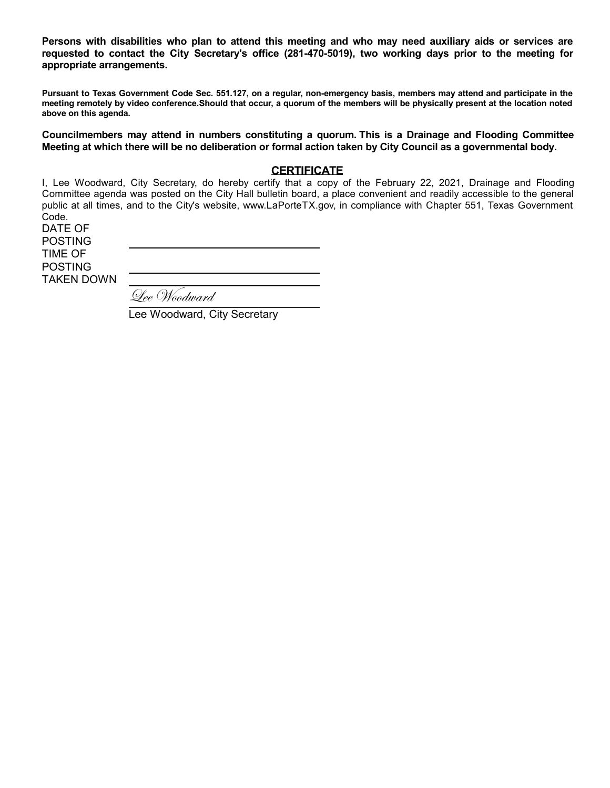Persons with disabilities who plan to attend this meeting and who may need auxiliary aids or services are **requested to contact the City Secretary's office (281-470-5019), two working days prior to the meeting for appropriate arrangements.**

Pursuant to Texas Government Code Sec. 551.127, on a regular, non-emergency basis, members may attend and participate in the meeting remotely by video conference. Should that occur, a quorum of the members will be physically present at the location noted **above on this agenda.**

**Councilmembers may attend in numbers constituting a quorum. This is a Drainage and Flooding Committee** Meeting at which there will be no deliberation or formal action taken by City Council as a governmental body.

#### **CERTIFICATE**

I, Lee Woodward, City Secretary, do hereby certify that a copy of the February 22, 2021, Drainage and Flooding Committee agenda was posted on the City Hall bulletin board, a place convenient and readily accessible to the general public at all times, and to the City's website, www.LaPorteTX.gov, in compliance with Chapter 551, Texas Government Code.

DATE OF POSTING TIME OF POSTING TAKEN DOWN LeeWoodward

Lee Woodward, City Secretary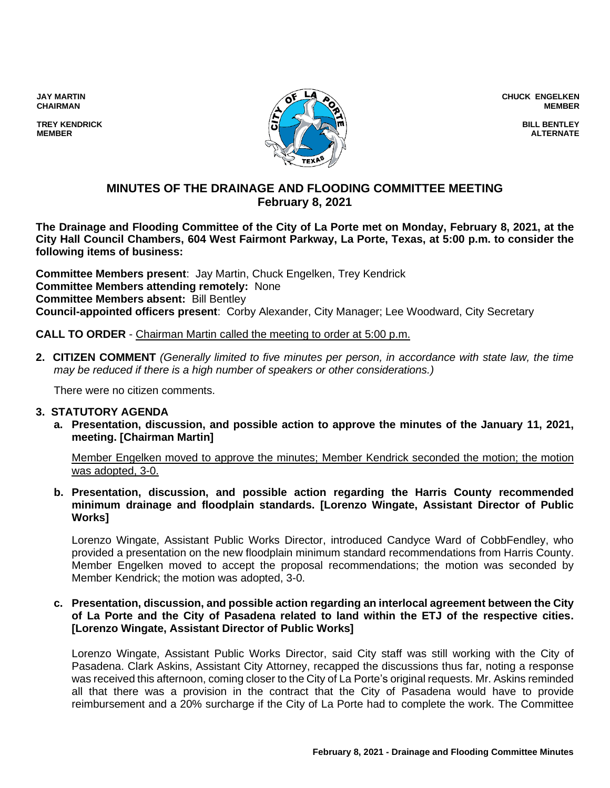**JAY MARTIN CHAIRMAN**

**TREY KENDRICK MEMBER**



**CHUCK ENGELKEN MEMBER**

> **BILL BENTLEY ALTERNATE**

## **MINUTES OF THE DRAINAGE AND FLOODING COMMITTEE MEETING February 8, 2021**

**The Drainage and Flooding Committee of the City of La Porte met on Monday, February 8, 2021, at the City Hall Council Chambers, 604 West Fairmont Parkway, La Porte, Texas, at 5:00 p.m. to consider the following items of business:**

**Committee Members present**: Jay Martin, Chuck Engelken, Trey Kendrick **Committee Members attending remotely:** None **Committee Members absent:** Bill Bentley **Council-appointed officers present**: Corby Alexander, City Manager; Lee Woodward, City Secretary

**CALL TO ORDER** - Chairman Martin called the meeting to order at 5:00 p.m.

**2. CITIZEN COMMENT** *(Generally limited to five minutes per person, in accordance with state law, the time may be reduced if there is a high number of speakers or other considerations.)*

There were no citizen comments.

#### **3. STATUTORY AGENDA**

**a. Presentation, discussion, and possible action to approve the minutes of the January 11, 2021, meeting. [Chairman Martin]**

Member Engelken moved to approve the minutes; Member Kendrick seconded the motion; the motion was adopted, 3-0.

**b. Presentation, discussion, and possible action regarding the Harris County recommended minimum drainage and floodplain standards. [Lorenzo Wingate, Assistant Director of Public Works]**

Lorenzo Wingate, Assistant Public Works Director, introduced Candyce Ward of CobbFendley, who provided a presentation on the new floodplain minimum standard recommendations from Harris County. Member Engelken moved to accept the proposal recommendations; the motion was seconded by Member Kendrick; the motion was adopted, 3-0.

#### **c. Presentation, discussion, and possible action regarding an interlocal agreement between the City of La Porte and the City of Pasadena related to land within the ETJ of the respective cities. [Lorenzo Wingate, Assistant Director of Public Works]**

Lorenzo Wingate, Assistant Public Works Director, said City staff was still working with the City of Pasadena. Clark Askins, Assistant City Attorney, recapped the discussions thus far, noting a response was received this afternoon, coming closer to the City of La Porte's original requests. Mr. Askins reminded all that there was a provision in the contract that the City of Pasadena would have to provide reimbursement and a 20% surcharge if the City of La Porte had to complete the work. The Committee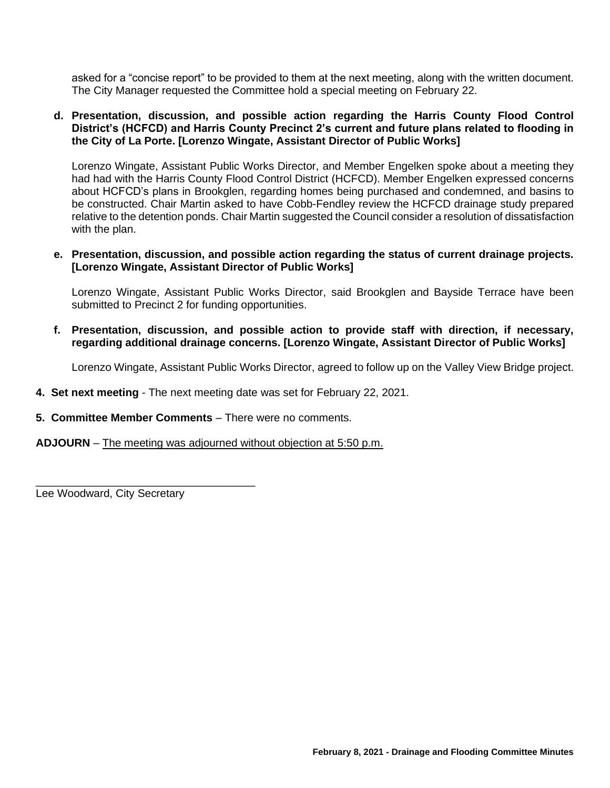asked for a "concise report" to be provided to them at the next meeting, along with the written document. The City Manager requested the Committee hold a special meeting on February 22.

#### **d. Presentation, discussion, and possible action regarding the Harris County Flood Control District's (HCFCD) and Harris County Precinct 2's current and future plans related to flooding in the City of La Porte. [Lorenzo Wingate, Assistant Director of Public Works]**

Lorenzo Wingate, Assistant Public Works Director, and Member Engelken spoke about a meeting they had had with the Harris County Flood Control District (HCFCD). Member Engelken expressed concerns about HCFCD's plans in Brookglen, regarding homes being purchased and condemned, and basins to be constructed. Chair Martin asked to have Cobb-Fendley review the HCFCD drainage study prepared relative to the detention ponds. Chair Martin suggested the Council consider a resolution of dissatisfaction with the plan.

#### **e. Presentation, discussion, and possible action regarding the status of current drainage projects. [Lorenzo Wingate, Assistant Director of Public Works]**

Lorenzo Wingate, Assistant Public Works Director, said Brookglen and Bayside Terrace have been submitted to Precinct 2 for funding opportunities.

**f. Presentation, discussion, and possible action to provide staff with direction, if necessary, regarding additional drainage concerns. [Lorenzo Wingate, Assistant Director of Public Works]**

Lorenzo Wingate, Assistant Public Works Director, agreed to follow up on the Valley View Bridge project.

- **4. Set next meeting** The next meeting date was set for February 22, 2021.
- **5. Committee Member Comments** There were no comments.

**ADJOURN** – The meeting was adjourned without objection at 5:50 p.m.

Lee Woodward, City Secretary

\_\_\_\_\_\_\_\_\_\_\_\_\_\_\_\_\_\_\_\_\_\_\_\_\_\_\_\_\_\_\_\_\_\_\_\_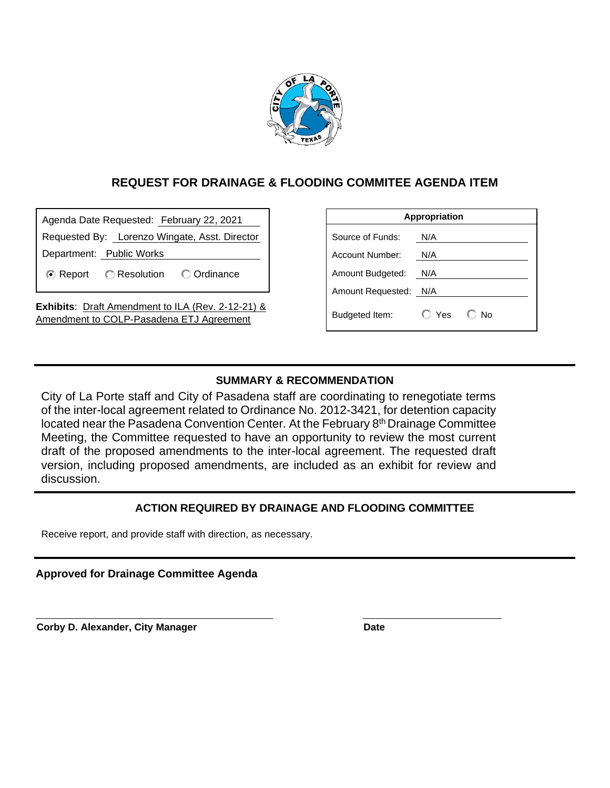

## **REQUEST FOR DRAINAGE & FLOODING COMMITEE AGENDA ITEM**

| Agenda Date Requested: February 22, 2021                                                             |                                          |  |  |  |
|------------------------------------------------------------------------------------------------------|------------------------------------------|--|--|--|
| Requested By: Lorenzo Wingate, Asst. Director                                                        |                                          |  |  |  |
| Department: Public Works                                                                             |                                          |  |  |  |
|                                                                                                      | <b>E</b> Report C Resolution C Ordinance |  |  |  |
| <b>Exhibits:</b> Draft Amendment to ILA (Rev. 2-12-21) &<br>Amendment to COLP-Pasadena ETJ Agreement |                                          |  |  |  |

| Appropriation          |       |                |  |  |
|------------------------|-------|----------------|--|--|
| Source of Funds:       | N/A   |                |  |  |
| <b>Account Number:</b> | N/A   |                |  |  |
| Amount Budgeted:       | N/A   |                |  |  |
| Amount Requested:      | N/A   |                |  |  |
| Budgeted Item:         | ◯ Yes | N <sub>0</sub> |  |  |

## **SUMMARY & RECOMMENDATION**

City of La Porte staff and City of Pasadena staff are coordinating to renegotiate terms of the inter-local agreement related to Ordinance No. 2012-3421, for detention capacity located near the Pasadena Convention Center. At the February 8th Drainage Committee Meeting, the Committee requested to have an opportunity to review the most current draft of the proposed amendments to the inter-local agreement. The requested draft version, including proposed amendments, are included as an exhibit for review and discussion.

## **ACTION REQUIRED BY DRAINAGE AND FLOODING COMMITTEE**

Receive report, and provide staff with direction, as necessary.

**Approved for Drainage Committee Agenda**

**Corby D. Alexander, City Manager <b>Date Date**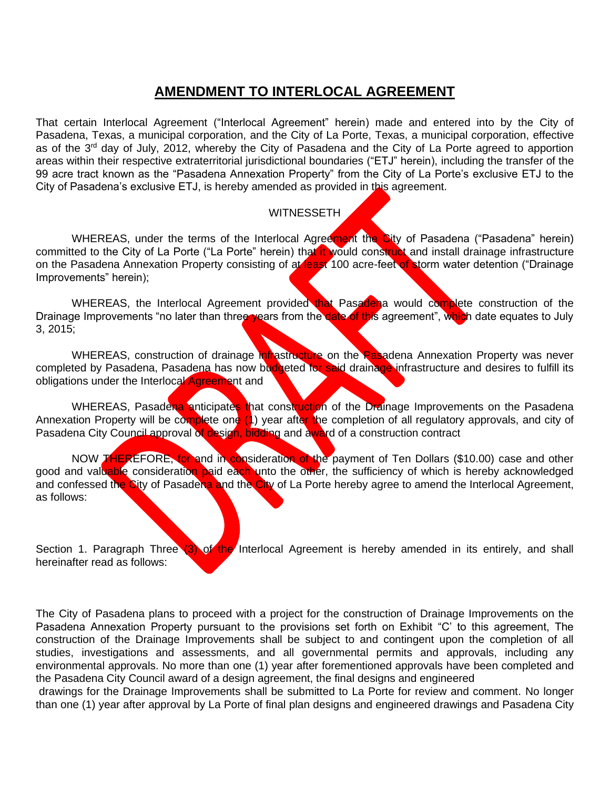# **AMENDMENT TO INTERLOCAL AGREEMENT**

That certain Interlocal Agreement ("Interlocal Agreement" herein) made and entered into by the City of Pasadena, Texas, a municipal corporation, and the City of La Porte, Texas, a municipal corporation, effective as of the 3<sup>rd</sup> day of July, 2012, whereby the City of Pasadena and the City of La Porte agreed to apportion areas within their respective extraterritorial jurisdictional boundaries ("ETJ" herein), including the transfer of the 99 acre tract known as the "Pasadena Annexation Property" from the City of La Porte's exclusive ETJ to the City of Pasadena's exclusive ETJ, is hereby amended as provided in this agreement.

## WITNESSETH

WHEREAS, under the terms of the Interlocal Agreement the City of Pasadena ("Pasadena" herein) committed to the City of La Porte ("La Porte" herein) that it would construct and install drainage infrastructure on the Pasadena Annexation Property consisting of at least 100 acre-feet of storm water detention ("Drainage Improvements" herein);

WHEREAS, the Interlocal Agreement provided that Pasadena would complete construction of the Drainage Improvements "no later than three years from the date of this agreement", which date equates to July 3, 2015;

WHEREAS, construction of drainage infrastructure on the Pasadena Annexation Property was never completed by Pasadena, Pasadena has now budgeted for said drainage infrastructure and desires to fulfill its obligations under the Interlocal **Agreement** and

WHEREAS, Pasadena anticipates that construction of the Drainage Improvements on the Pasadena Annexation Property will be complete one (1) year after the completion of all regulatory approvals, and city of Pasadena City Council approval of design, bidding and award of a construction contract

NOW THEREFORE, for and in consideration of the payment of Ten Dollars (\$10.00) case and other good and valuable consideration paid each unto the other, the sufficiency of which is hereby acknowledged and confessed the City of Pasadena and the City of La Porte hereby agree to amend the Interlocal Agreement, as follows:

Section 1. Paragraph Three (3) of the Interlocal Agreement is hereby amended in its entirely, and shall hereinafter read as follows:

The City of Pasadena plans to proceed with a project for the construction of Drainage Improvements on the Pasadena Annexation Property pursuant to the provisions set forth on Exhibit "C' to this agreement, The construction of the Drainage Improvements shall be subject to and contingent upon the completion of all studies, investigations and assessments, and all governmental permits and approvals, including any environmental approvals. No more than one (1) year after forementioned approvals have been completed and the Pasadena City Council award of a design agreement, the final designs and engineered

drawings for the Drainage Improvements shall be submitted to La Porte for review and comment. No longer than one (1) year after approval by La Porte of final plan designs and engineered drawings and Pasadena City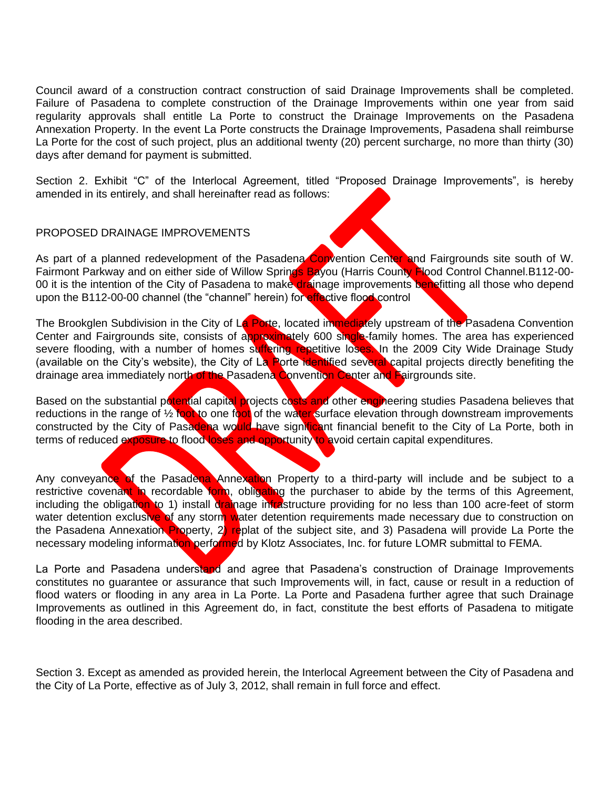Council award of a construction contract construction of said Drainage Improvements shall be completed. Failure of Pasadena to complete construction of the Drainage Improvements within one year from said regularity approvals shall entitle La Porte to construct the Drainage Improvements on the Pasadena Annexation Property. In the event La Porte constructs the Drainage Improvements, Pasadena shall reimburse La Porte for the cost of such project, plus an additional twenty (20) percent surcharge, no more than thirty (30) days after demand for payment is submitted.

Section 2. Exhibit "C" of the Interlocal Agreement, titled "Proposed Drainage Improvements", is hereby amended in its entirely, and shall hereinafter read as follows:

#### PROPOSED DRAINAGE IMPROVEMENTS

As part of a planned redevelopment of the Pasadena Convention Center and Fairgrounds site south of W. Fairmont Parkway and on either side of Willow Springs Bayou (Harris County Flood Control Channel.B112-00-00 it is the intention of the City of Pasadena to make drainage improvements benefitting all those who depend upon the B112-00-00 channel (the "channel" herein) for effective flood control

The Brookglen Subdivision in the City of La Porte, located immediately upstream of the Pasadena Convention Center and Fairgrounds site, consists of approximately 600 single-family homes. The area has experienced severe flooding, with a number of homes suffering repetitive loses. In the 2009 City Wide Drainage Study (available on the City's website), the City of La Porte identified several capital projects directly benefiting the drainage area immediately north of the Pasadena Convention Center and Fairgrounds site.

Based on the substantial potential capital projects costs and other engineering studies Pasadena believes that reductions in the range of 1/2 foot to one foot of the water surface elevation through downstream improvements constructed by the City of Pasadena would have significant financial benefit to the City of La Porte, both in terms of reduced exposure to flood loses and opportunity to avoid certain capital expenditures.

Any conveyance of the Pasadena Annexation Property to a third-party will include and be subject to a restrictive covenant in recordable form, obligating the purchaser to abide by the terms of this Agreement, including the obligation to 1) install drainage intrastructure providing for no less than 100 acre-feet of storm water detention exclusive of any storm water detention requirements made necessary due to construction on the Pasadena Annexation Property, 2) replat of the subject site, and 3) Pasadena will provide La Porte the necessary modeling information performed by Klotz Associates, Inc. for future LOMR submittal to FEMA.

La Porte and Pasadena understand and agree that Pasadena's construction of Drainage Improvements constitutes no guarantee or assurance that such Improvements will, in fact, cause or result in a reduction of flood waters or flooding in any area in La Porte. La Porte and Pasadena further agree that such Drainage Improvements as outlined in this Agreement do, in fact, constitute the best efforts of Pasadena to mitigate flooding in the area described.

Section 3. Except as amended as provided herein, the Interlocal Agreement between the City of Pasadena and the City of La Porte, effective as of July 3, 2012, shall remain in full force and effect.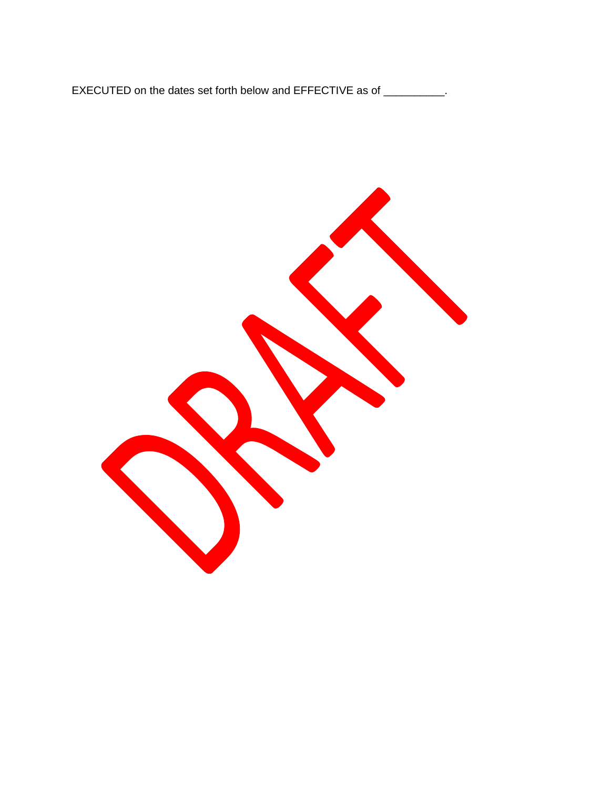EXECUTED on the dates set forth below and EFFECTIVE as of \_\_\_\_\_\_\_\_\_.

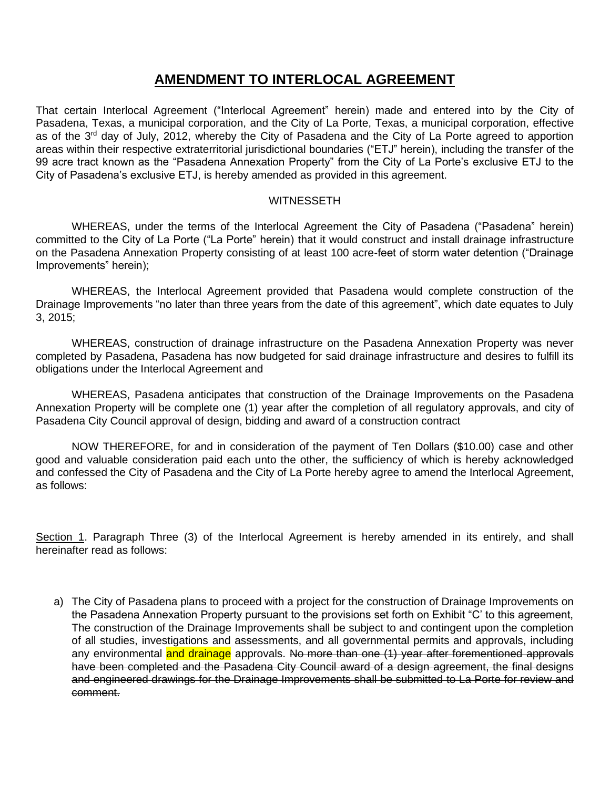# **AMENDMENT TO INTERLOCAL AGREEMENT**

That certain Interlocal Agreement ("Interlocal Agreement" herein) made and entered into by the City of Pasadena, Texas, a municipal corporation, and the City of La Porte, Texas, a municipal corporation, effective as of the 3<sup>rd</sup> day of July, 2012, whereby the City of Pasadena and the City of La Porte agreed to apportion areas within their respective extraterritorial jurisdictional boundaries ("ETJ" herein), including the transfer of the 99 acre tract known as the "Pasadena Annexation Property" from the City of La Porte's exclusive ETJ to the City of Pasadena's exclusive ETJ, is hereby amended as provided in this agreement.

#### **WITNESSETH**

WHEREAS, under the terms of the Interlocal Agreement the City of Pasadena ("Pasadena" herein) committed to the City of La Porte ("La Porte" herein) that it would construct and install drainage infrastructure on the Pasadena Annexation Property consisting of at least 100 acre-feet of storm water detention ("Drainage Improvements" herein);

WHEREAS, the Interlocal Agreement provided that Pasadena would complete construction of the Drainage Improvements "no later than three years from the date of this agreement", which date equates to July 3, 2015;

WHEREAS, construction of drainage infrastructure on the Pasadena Annexation Property was never completed by Pasadena, Pasadena has now budgeted for said drainage infrastructure and desires to fulfill its obligations under the Interlocal Agreement and

WHEREAS, Pasadena anticipates that construction of the Drainage Improvements on the Pasadena Annexation Property will be complete one (1) year after the completion of all regulatory approvals, and city of Pasadena City Council approval of design, bidding and award of a construction contract

NOW THEREFORE, for and in consideration of the payment of Ten Dollars (\$10.00) case and other good and valuable consideration paid each unto the other, the sufficiency of which is hereby acknowledged and confessed the City of Pasadena and the City of La Porte hereby agree to amend the Interlocal Agreement, as follows:

Section 1. Paragraph Three (3) of the Interlocal Agreement is hereby amended in its entirely, and shall hereinafter read as follows:

a) The City of Pasadena plans to proceed with a project for the construction of Drainage Improvements on the Pasadena Annexation Property pursuant to the provisions set forth on Exhibit "C' to this agreement, The construction of the Drainage Improvements shall be subject to and contingent upon the completion of all studies, investigations and assessments, and all governmental permits and approvals, including any environmental and drainage approvals. No more than one (1) year after forementioned approvals have been completed and the Pasadena City Council award of a design agreement, the final designs and engineered drawings for the Drainage Improvements shall be submitted to La Porte for review and comment.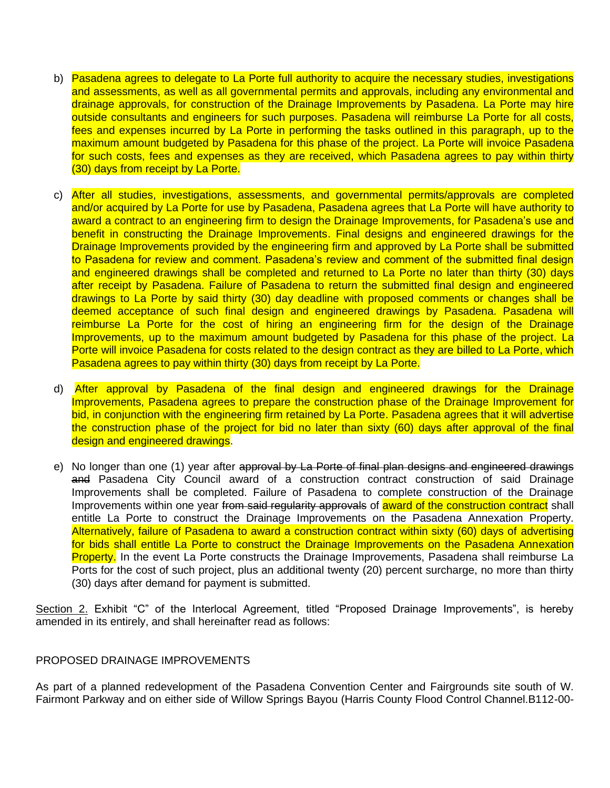- b) Pasadena agrees to delegate to La Porte full authority to acquire the necessary studies, investigations and assessments, as well as all governmental permits and approvals, including any environmental and drainage approvals, for construction of the Drainage Improvements by Pasadena. La Porte may hire outside consultants and engineers for such purposes. Pasadena will reimburse La Porte for all costs, fees and expenses incurred by La Porte in performing the tasks outlined in this paragraph, up to the maximum amount budgeted by Pasadena for this phase of the project. La Porte will invoice Pasadena for such costs, fees and expenses as they are received, which Pasadena agrees to pay within thirty (30) days from receipt by La Porte.
- c) After all studies, investigations, assessments, and governmental permits/approvals are completed and/or acquired by La Porte for use by Pasadena, Pasadena agrees that La Porte will have authority to award a contract to an engineering firm to design the Drainage Improvements, for Pasadena's use and benefit in constructing the Drainage Improvements. Final designs and engineered drawings for the Drainage Improvements provided by the engineering firm and approved by La Porte shall be submitted to Pasadena for review and comment. Pasadena's review and comment of the submitted final design and engineered drawings shall be completed and returned to La Porte no later than thirty (30) days after receipt by Pasadena. Failure of Pasadena to return the submitted final design and engineered drawings to La Porte by said thirty (30) day deadline with proposed comments or changes shall be deemed acceptance of such final design and engineered drawings by Pasadena. Pasadena will reimburse La Porte for the cost of hiring an engineering firm for the design of the Drainage Improvements, up to the maximum amount budgeted by Pasadena for this phase of the project. La Porte will invoice Pasadena for costs related to the design contract as they are billed to La Porte, which Pasadena agrees to pay within thirty (30) days from receipt by La Porte.
- d) After approval by Pasadena of the final design and engineered drawings for the Drainage Improvements, Pasadena agrees to prepare the construction phase of the Drainage Improvement for bid, in conjunction with the engineering firm retained by La Porte. Pasadena agrees that it will advertise the construction phase of the project for bid no later than sixty (60) days after approval of the final design and engineered drawings.
- e) No longer than one (1) year after approval by La Porte of final plan designs and engineered drawings and Pasadena City Council award of a construction contract construction of said Drainage Improvements shall be completed. Failure of Pasadena to complete construction of the Drainage Improvements within one year from said regularity approvals of award of the construction contract shall entitle La Porte to construct the Drainage Improvements on the Pasadena Annexation Property. Alternatively, failure of Pasadena to award a construction contract within sixty (60) days of advertising for bids shall entitle La Porte to construct the Drainage Improvements on the Pasadena Annexation **Property.** In the event La Porte constructs the Drainage Improvements, Pasadena shall reimburse La Ports for the cost of such project, plus an additional twenty (20) percent surcharge, no more than thirty (30) days after demand for payment is submitted.

Section 2. Exhibit "C" of the Interlocal Agreement, titled "Proposed Drainage Improvements", is hereby amended in its entirely, and shall hereinafter read as follows:

#### PROPOSED DRAINAGE IMPROVEMENTS

As part of a planned redevelopment of the Pasadena Convention Center and Fairgrounds site south of W. Fairmont Parkway and on either side of Willow Springs Bayou (Harris County Flood Control Channel.B112-00